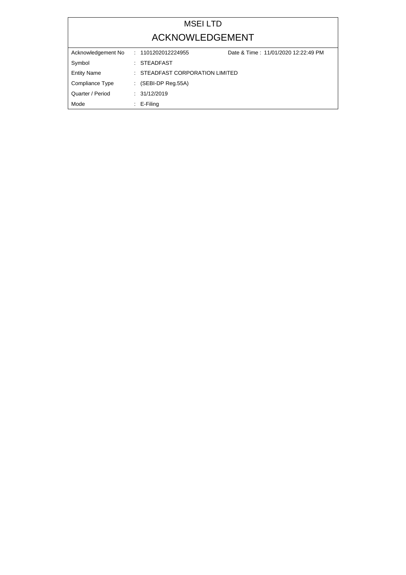# MSEI LTD ACKNOWLEDGEMENT

| Acknowledgement No | Date & Time: 11/01/2020 12:22:49 PM<br>: 1101202012224955 |  |
|--------------------|-----------------------------------------------------------|--|
| Symbol             | : STEADFAST                                               |  |
| <b>Entity Name</b> | : STEADFAST CORPORATION LIMITED                           |  |
| Compliance Type    | $\therefore$ (SEBI-DP Reg.55A)                            |  |
| Quarter / Period   | : 31/12/2019                                              |  |
| Mode               | $\therefore$ E-Filing                                     |  |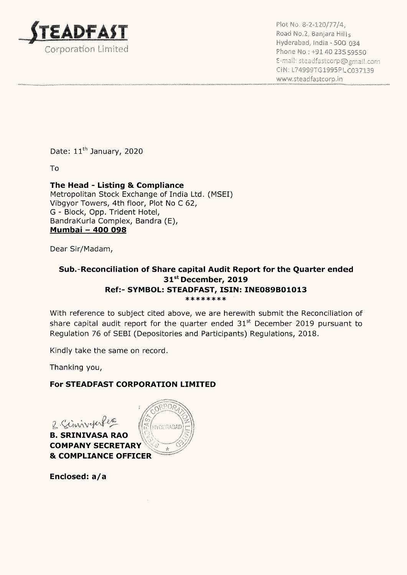

Plot No. 8-2-120/77/4, Road No.2, Banjara Hills Hyderabad, India - 500 934 Corporation Limited Phone No: +91 40 23559: E-mail: steadfastcorp@gmail.com CIN: L74999TG 1995PL C037139 www.steadfastcorp.in

Date: 11<sup>th</sup> January, 2020

To

### The Head - Listing & Compliance

Metropolitan Stock Exchange of India Ltd. (MSEI) Vibgyor Towers, 4th floor, Plot No C 62, G - Block, Opp. Trident Hotel, Bandrakurla Complex, Bandra (E), Mumbai — 400 098

Dear Sir/Madam,

#### Sub.-Reconciliation of Share capital Audit Report for the Quarter ended 31°' December, 2019 Ref:- SYMBOL: STEADFAST, ISIN: INEO89B01013 \*\*\*\*\*\*\*

With reference to subject cited above, we are herewith submit the Reconciliation of share capital audit report for the quarter ended  $31<sup>st</sup>$  December 2019 pursuant to Regulation 76 of SEBI (Depositories and Participants) Regulations, 2018.

Kindly take the same on record.

Thanking you,

## For STEADFAST CORPORATION LIMITED

2 Siniver Pero B. SRINIVASA RAO COMPANY SECRETARY & COMPLIANCE OFFICER

Enclosed: a/a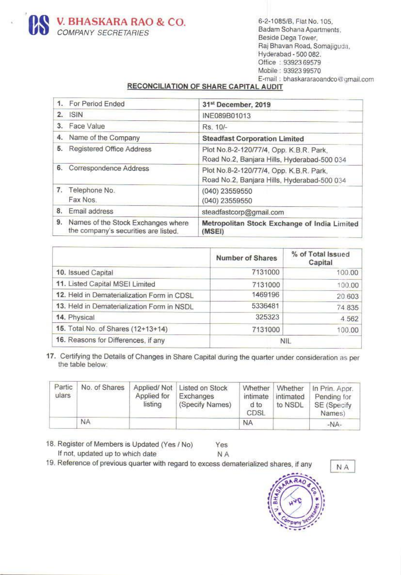

Raj Bhavan Road, Somajiguda,<br>Hyderabad - 500 082.<br>Office : 93923 69579<br>Mobile : 93923 99570<br>E-mail : bhaskararaoandco@gmail.com

#### RECONCILIATION OF SHARE CAPITAL AUDIT

|                   | <b>COMPANY SECRETARIES</b>          | <b>V. BHASKARA RAO &amp; CO.</b><br>RECONCILIATION OF SHARE CAPITAL AUDIT  |           |                                                                                        |                                     | 6-2-1085/B, Flat No. 105.<br>Badam Sohana Apartments,<br>Beside Dega Tower,<br>Hyderabad - 500 082.<br>Office: 93923 69579<br>Mobile: 93923 99570 | Raj Bhavan Road, Somajiguda,<br>E-mail: bhaskararaoandco@gmail.co                                   |  |
|-------------------|-------------------------------------|----------------------------------------------------------------------------|-----------|----------------------------------------------------------------------------------------|-------------------------------------|---------------------------------------------------------------------------------------------------------------------------------------------------|-----------------------------------------------------------------------------------------------------|--|
|                   |                                     |                                                                            |           |                                                                                        |                                     |                                                                                                                                                   |                                                                                                     |  |
| 1.                | For Period Ended                    |                                                                            |           | 31st December, 2019                                                                    |                                     |                                                                                                                                                   |                                                                                                     |  |
| <b>ISIN</b><br>2. |                                     |                                                                            |           | INE089B01013                                                                           |                                     |                                                                                                                                                   |                                                                                                     |  |
| 3. Face Value     |                                     |                                                                            |           | Rs. 10/-                                                                               |                                     |                                                                                                                                                   |                                                                                                     |  |
| 4.                | Name of the Company                 |                                                                            |           | <b>Steadfast Corporation Limited</b>                                                   |                                     |                                                                                                                                                   |                                                                                                     |  |
| 5.                | Registered Office Address           |                                                                            |           | Plot No.8-2-120/77/4, Opp. K.B.R. Park,                                                |                                     |                                                                                                                                                   |                                                                                                     |  |
|                   | 6. Correspondence Address           |                                                                            |           | Road No.2, Banjara Hills, Hyderabad-500 034<br>Plot No.8-2-120/77/4, Opp. K.B.R. Park, |                                     |                                                                                                                                                   |                                                                                                     |  |
|                   |                                     |                                                                            |           |                                                                                        |                                     |                                                                                                                                                   | Road No.2, Banjara Hills, Hyderabad-500 034                                                         |  |
| 7.                | Telephone No.                       |                                                                            |           | (040) 23559550                                                                         |                                     |                                                                                                                                                   |                                                                                                     |  |
| Fax Nos.          |                                     |                                                                            |           | (040) 23559550                                                                         |                                     |                                                                                                                                                   |                                                                                                     |  |
| 8.                | Email address                       |                                                                            |           | steadfastcorp@gmail.com                                                                |                                     |                                                                                                                                                   |                                                                                                     |  |
| 9.                |                                     | Names of the Stock Exchanges where<br>the company's securities are listed. |           | (MSEI)                                                                                 |                                     |                                                                                                                                                   | Metropolitan Stock Exchange of India Limited                                                        |  |
|                   |                                     |                                                                            |           |                                                                                        | <b>Number of Shares</b>             |                                                                                                                                                   | % of Total Issued<br>Capital                                                                        |  |
|                   | 10. Issued Capital                  |                                                                            |           |                                                                                        | 7131000                             |                                                                                                                                                   | 100.00                                                                                              |  |
|                   | 11. Listed Capital MSEI Limited     |                                                                            |           | 7131000                                                                                |                                     |                                                                                                                                                   | 100.00                                                                                              |  |
|                   |                                     | 12. Held in Dematerialization Form in CDSL                                 |           |                                                                                        | 1469196                             |                                                                                                                                                   | 20.603                                                                                              |  |
|                   |                                     | 13. Held in Dematerialization Form in NSDL                                 |           |                                                                                        | 5336481                             |                                                                                                                                                   | 74 835                                                                                              |  |
| 14. Physical      |                                     |                                                                            |           |                                                                                        | 325323                              |                                                                                                                                                   | 4.562                                                                                               |  |
|                   | 15. Total No. of Shares (12+13+14)  |                                                                            |           |                                                                                        | 7131000                             |                                                                                                                                                   | 100.00                                                                                              |  |
| the table below:  | 16. Reasons for Differences, if any |                                                                            |           |                                                                                        |                                     | <b>NIL</b>                                                                                                                                        | 7. Certifying the Details of Changes in Share Capital during the quarter under consideration as per |  |
| Partic<br>ulars   | No. of Shares                       | Applied/Not<br>Applied for<br>listing                                      | Exchanges | Listed on Stock<br>(Specify Names)                                                     | Whether<br>intimate<br>d to<br>CDSL | Whether<br>intimated<br>to NSDL                                                                                                                   | In Prin. Appr.<br>Pending for<br>SE (Specify<br>Names)                                              |  |

| 6.<br>Correspondence Address<br>Plot No.8-2-120/77/4, Opp. K.B.R. Park,<br>Road No.2, Banjara Hills, Hyderabad-500 034<br>7.<br>Telephone No.<br>(040) 23559550<br>Fax Nos.<br>(040) 23559550<br>Email address<br>8.<br>steadfastcorp@gmail.com<br>9.<br>Names of the Stock Exchanges where<br>Metropolitan Stock Exchange of India Limited<br>the company's securities are listed.<br>(MSEI)<br>% of Total Issued<br><b>Number of Shares</b><br>Capital<br>7131000<br>10. Issued Capital<br>11. Listed Capital MSEI Limited<br>7131000<br>1469196<br>12. Held in Dematerialization Form in CDSL<br>5336481<br>13. Held in Dematerialization Form in NSDL<br>325323<br>14. Physical<br>15. Total No. of Shares (12+13+14)<br>7131000<br>16. Reasons for Differences, if any<br><b>NIL</b><br>7. Certifying the Details of Changes in Share Capital during the quarter under consideration as per<br>the table below:<br>No. of Shares<br>Applied/Not<br>Listed on Stock<br>Whether<br>Whether<br>In Prin. Appr.<br>ulars<br>Applied for<br>Exchanges<br>intimate<br>intimated<br>Pending for<br>listing<br>(Specify Names)<br>d to<br>to NSDL<br>SE (Specify<br>CDSL<br>Names)<br><b>NA</b><br><b>NA</b><br>$-NA-$ |        | 5. Registered Office Address |  |  |  | Plot No.8-2-120/77/4, Opp. K.B.R. Park. |  | Road No.2, Banjara Hills, Hyderabad-500 034 |
|--------------------------------------------------------------------------------------------------------------------------------------------------------------------------------------------------------------------------------------------------------------------------------------------------------------------------------------------------------------------------------------------------------------------------------------------------------------------------------------------------------------------------------------------------------------------------------------------------------------------------------------------------------------------------------------------------------------------------------------------------------------------------------------------------------------------------------------------------------------------------------------------------------------------------------------------------------------------------------------------------------------------------------------------------------------------------------------------------------------------------------------------------------------------------------------------------------------------|--------|------------------------------|--|--|--|-----------------------------------------|--|---------------------------------------------|
|                                                                                                                                                                                                                                                                                                                                                                                                                                                                                                                                                                                                                                                                                                                                                                                                                                                                                                                                                                                                                                                                                                                                                                                                                    |        |                              |  |  |  |                                         |  |                                             |
|                                                                                                                                                                                                                                                                                                                                                                                                                                                                                                                                                                                                                                                                                                                                                                                                                                                                                                                                                                                                                                                                                                                                                                                                                    |        |                              |  |  |  |                                         |  |                                             |
|                                                                                                                                                                                                                                                                                                                                                                                                                                                                                                                                                                                                                                                                                                                                                                                                                                                                                                                                                                                                                                                                                                                                                                                                                    |        |                              |  |  |  |                                         |  |                                             |
|                                                                                                                                                                                                                                                                                                                                                                                                                                                                                                                                                                                                                                                                                                                                                                                                                                                                                                                                                                                                                                                                                                                                                                                                                    |        |                              |  |  |  |                                         |  |                                             |
|                                                                                                                                                                                                                                                                                                                                                                                                                                                                                                                                                                                                                                                                                                                                                                                                                                                                                                                                                                                                                                                                                                                                                                                                                    |        |                              |  |  |  |                                         |  |                                             |
|                                                                                                                                                                                                                                                                                                                                                                                                                                                                                                                                                                                                                                                                                                                                                                                                                                                                                                                                                                                                                                                                                                                                                                                                                    |        |                              |  |  |  |                                         |  | 100.00                                      |
|                                                                                                                                                                                                                                                                                                                                                                                                                                                                                                                                                                                                                                                                                                                                                                                                                                                                                                                                                                                                                                                                                                                                                                                                                    |        |                              |  |  |  |                                         |  | 100.00                                      |
|                                                                                                                                                                                                                                                                                                                                                                                                                                                                                                                                                                                                                                                                                                                                                                                                                                                                                                                                                                                                                                                                                                                                                                                                                    |        |                              |  |  |  |                                         |  | 20.603                                      |
|                                                                                                                                                                                                                                                                                                                                                                                                                                                                                                                                                                                                                                                                                                                                                                                                                                                                                                                                                                                                                                                                                                                                                                                                                    |        |                              |  |  |  |                                         |  | 74 835                                      |
|                                                                                                                                                                                                                                                                                                                                                                                                                                                                                                                                                                                                                                                                                                                                                                                                                                                                                                                                                                                                                                                                                                                                                                                                                    |        |                              |  |  |  |                                         |  | 4.562                                       |
|                                                                                                                                                                                                                                                                                                                                                                                                                                                                                                                                                                                                                                                                                                                                                                                                                                                                                                                                                                                                                                                                                                                                                                                                                    |        |                              |  |  |  |                                         |  | 100.00                                      |
|                                                                                                                                                                                                                                                                                                                                                                                                                                                                                                                                                                                                                                                                                                                                                                                                                                                                                                                                                                                                                                                                                                                                                                                                                    |        |                              |  |  |  |                                         |  |                                             |
|                                                                                                                                                                                                                                                                                                                                                                                                                                                                                                                                                                                                                                                                                                                                                                                                                                                                                                                                                                                                                                                                                                                                                                                                                    |        |                              |  |  |  |                                         |  |                                             |
|                                                                                                                                                                                                                                                                                                                                                                                                                                                                                                                                                                                                                                                                                                                                                                                                                                                                                                                                                                                                                                                                                                                                                                                                                    | Partic |                              |  |  |  |                                         |  |                                             |
|                                                                                                                                                                                                                                                                                                                                                                                                                                                                                                                                                                                                                                                                                                                                                                                                                                                                                                                                                                                                                                                                                                                                                                                                                    |        |                              |  |  |  |                                         |  |                                             |

| Partic.<br>ulars | No. of Shares | Applied for<br>listing | Applied/Not Listed on Stock<br>Exchanges<br>(Specify Names) | Whether<br>intimate<br>d to<br>CDSL | intimated<br>to NSDL | Whether In Prin. Appr.<br>Pending for<br>SE (Specify<br>Names) |
|------------------|---------------|------------------------|-------------------------------------------------------------|-------------------------------------|----------------------|----------------------------------------------------------------|
|                  | <b>NA</b>     |                        |                                                             | <b>NA</b>                           |                      | $-NA-$                                                         |

18. Register of Members is Updated (Yes / No) Yes<br>
If not, updated up to which date NA<br>
19. Reference of previous quarter with regard to excess dematerialized shares, if any  $N_A$